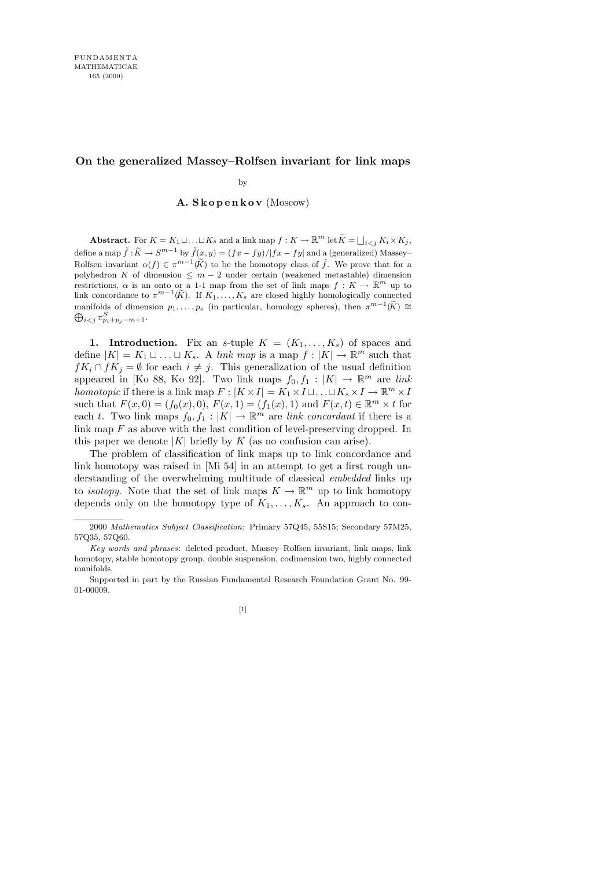# **On the generalized Massey–Rolfsen invariant for link maps**

by

# A. S k o p e n k o v (Moscow)

**Abstract.** For  $K = K_1 \sqcup \ldots \sqcup K_s$  and a link map  $f: K \to \mathbb{R}^m$  let  $\widetilde{K} = \bigsqcup_{i < j} K_i \times K_j$ , define a map  $\tilde{f}: \tilde{K} \to S^{m-1}$  by  $\tilde{f}(x, y) = (fx - fy)/|fx - fy|$  and a (generalized) Massey– Rolfsen invariant  $\alpha(f) \in \pi^{m-1}(\widetilde{K})$  to be the homotopy class of  $\widetilde{f}$ . We prove that for a polyhedron *K* of dimension  $\leq m-2$  under certain (weakened metastable) dimension restrictions,  $\alpha$  is an onto or a 1-1 map from the set of link maps  $f: K \to \mathbb{R}^m$  up to link concordance to  $\pi^{m-1}(\widetilde{K})$ . If  $K_1, \ldots, K_s$  are closed highly homologically connected manifolds of dimension  $p_1, \ldots, p_s$  (in particular, homology spheres), then  $\pi^{m-1}(\widetilde{K}) \cong$  $\bigoplus_{i < j} \pi^S_{p_i+p_j-m+1}.$ 

1. Introduction. Fix an s-tuple  $K = (K_1, \ldots, K_s)$  of spaces and define  $|K| = K_1 \sqcup \ldots \sqcup K_s$ . A link map is a map  $f : |K| \to \mathbb{R}^m$  such that  $fK_i \cap fK_j = \emptyset$  for each  $i \neq j$ . This generalization of the usual definition appeared in [Ko 88, Ko 92]. Two link maps  $f_0, f_1 : |K| \to \mathbb{R}^m$  are link homotopic if there is a link map  $F: |K \times I| = K_1 \times I \sqcup \ldots \sqcup K_s \times I \to \mathbb{R}^m \times I$ such that  $F(x, 0) = (f_0(x), 0), F(x, 1) = (f_1(x), 1)$  and  $F(x, t) \in \mathbb{R}^m \times t$  for each t. Two link maps  $f_0, f_1 : |K| \to \mathbb{R}^m$  are *link concordant* if there is a link map  $F$  as above with the last condition of level-preserving dropped. In this paper we denote  $|K|$  briefly by K (as no confusion can arise).

The problem of classification of link maps up to link concordance and link homotopy was raised in [Mi 54] in an attempt to get a first rough understanding of the overwhelming multitude of classical embedded links up to *isotopy*. Note that the set of link maps  $K \to \mathbb{R}^m$  up to link homotopy depends only on the homotopy type of  $K_1, \ldots, K_s$ . An approach to con-

Supported in part by the Russian Fundamental Research Foundation Grant No. 99- 01-00009.



<sup>2000</sup> *Mathematics Subject Classification*: Primary 57Q45, 55S15; Secondary 57M25, 57Q35, 57Q60.

*Key words and phrases*: deleted product, Massey–Rolfsen invariant, link maps, link homotopy, stable homotopy group, double suspension, codimension two, highly connected manifolds.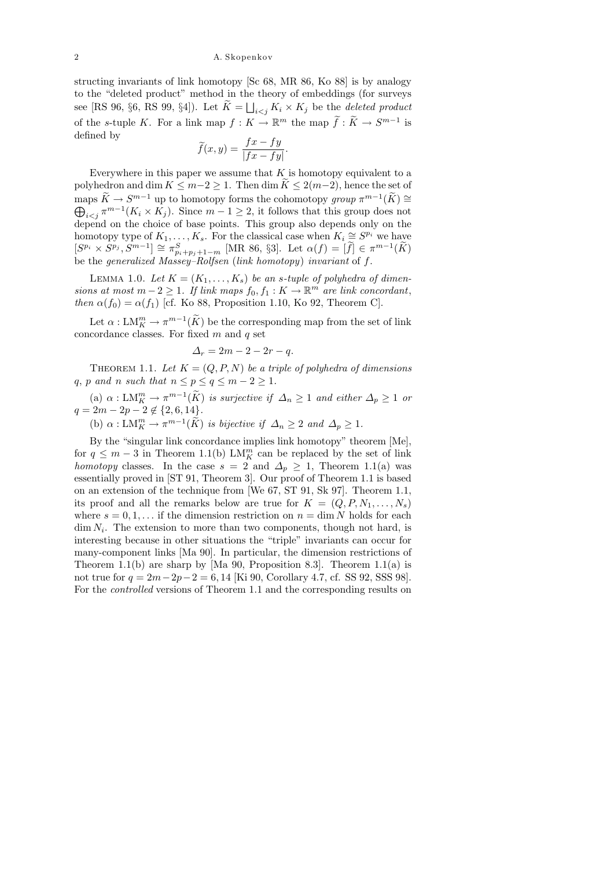structing invariants of link homotopy [Sc 68, MR 86, Ko 88] is by analogy to the "deleted product" method in the theory of embeddings (for surveys see [RS 96, §6, RS 99, §4]). Let  $K = \bigsqcup_{i < j} K_i \times K_j$  be the deleted product of the s-tuple K. For a link map  $f: K \to \mathbb{R}^m$  the map  $\widetilde{f}: \widetilde{K} \to S^{m-1}$  is defined by

$$
\widetilde{f}(x,y) = \frac{fx - fy}{|fx - fy|}.
$$

Everywhere in this paper we assume that  $K$  is homotopy equivalent to a polyhedron and dim  $K \leq m-2 \geq 1$ . Then dim  $\overline{K} \leq 2(m-2)$ , hence the set of maps  $\widetilde{K} \to S^{m-1}$  up to homotopy forms the cohomotopy group  $\pi^{m-1}(\widetilde{K}) \cong$  $\bigoplus_{i < j} \pi^{m-1}(K_i \times K_j)$ . Since  $m-1 \geq 2$ , it follows that this group does not depend on the choice of base points. This group also depends only on the homotopy type of  $K_1, \ldots, K_s$ . For the classical case when  $K_i \cong S^{p_i}$  we have  $[S^{p_i} \times S^{p_j}, S^{m-1}] \cong \pi_{p_i+p_j+1-m}^S \text{ [MR 86, §3]. Let } \alpha(f) = [\tilde{f}] \in \pi^{m-1}(\tilde{K})$ be the *generalized Massey–Rolfsen* (link homotopy) invariant of f.

LEMMA 1.0. Let  $K = (K_1, \ldots, K_s)$  be an s-tuple of polyhedra of dimensions at most  $m-2 \geq 1$ . If link maps  $f_0, f_1 : K \to \mathbb{R}^m$  are link concordant, then  $\alpha(f_0) = \alpha(f_1)$  [cf. Ko 88, Proposition 1.10, Ko 92, Theorem C].

Let  $\alpha: LM_K^m \to \pi^{m-1}(\widetilde{K})$  be the corresponding map from the set of link concordance classes. For fixed  $m$  and  $q$  set

$$
\Delta_r = 2m - 2 - 2r - q.
$$

THEOREM 1.1. Let  $K = (Q, P, N)$  be a triple of polyhedra of dimensions q, p and n such that  $n \leq p \leq q \leq m-2 \geq 1$ .

(a)  $\alpha : LM_K^m \to \pi^{m-1}(\widetilde{K})$  is surjective if  $\Delta_n \geq 1$  and either  $\Delta_p \geq 1$  or  $q = 2m - 2p - 2 \notin \{2, 6, 14\}.$ 

(b)  $\alpha: \mathop{\rm LM}_{K}^{m} \to \pi^{m-1}(\widetilde{K})$  is bijective if  $\Delta_n \geq 2$  and  $\Delta_p \geq 1$ .

By the "singular link concordance implies link homotopy" theorem [Me], for  $q \leq m-3$  in Theorem 1.1(b)  $LM_K^m$  can be replaced by the set of link homotopy classes. In the case  $s = 2$  and  $\Delta_p \geq 1$ , Theorem 1.1(a) was essentially proved in [ST 91, Theorem 3]. Our proof of Theorem 1.1 is based on an extension of the technique from [We 67, ST 91, Sk 97]. Theorem 1.1, its proof and all the remarks below are true for  $K = (Q, P, N_1, \ldots, N_s)$ where  $s = 0, 1, \ldots$  if the dimension restriction on  $n = \dim N$  holds for each  $\dim N_i$ . The extension to more than two components, though not hard, is interesting because in other situations the "triple" invariants can occur for many-component links [Ma 90]. In particular, the dimension restrictions of Theorem 1.1(b) are sharp by [Ma 90, Proposition 8.3]. Theorem 1.1(a) is not true for  $q = 2m-2p-2 = 6, 14$  [Ki 90, Corollary 4.7, cf. SS 92, SSS 98]. For the controlled versions of Theorem 1.1 and the corresponding results on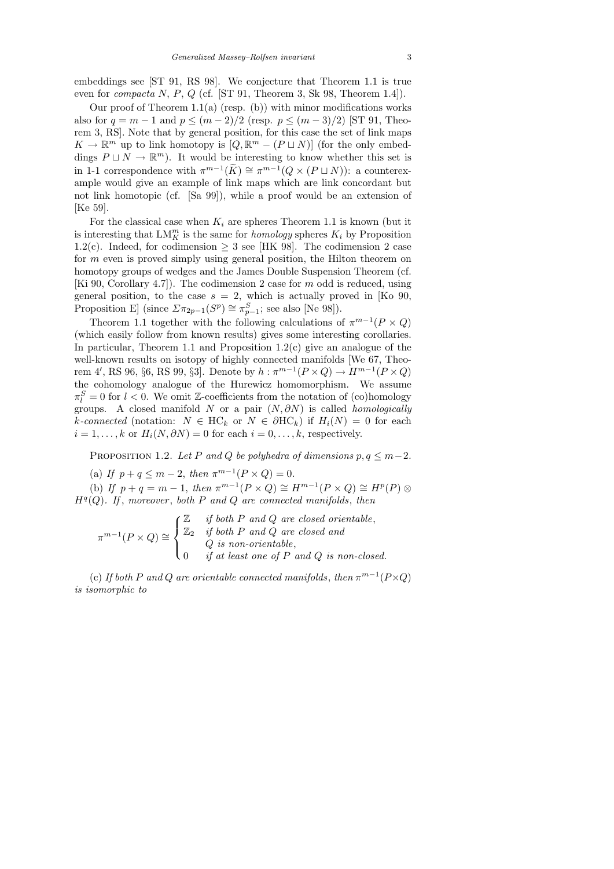embeddings see [ST 91, RS 98]. We conjecture that Theorem 1.1 is true even for compacta N, P, Q (cf. [ST 91, Theorem 3, Sk 98, Theorem 1.4]).

Our proof of Theorem  $1.1(a)$  (resp. (b)) with minor modifications works also for  $q = m - 1$  and  $p \leq (m - 2)/2$  (resp.  $p \leq (m - 3)/2$ ) [ST 91, Theorem 3, RS]. Note that by general position, for this case the set of link maps  $K \to \mathbb{R}^m$  up to link homotopy is  $[Q, \mathbb{R}^m - (P \sqcup N)]$  (for the only embeddings  $P \sqcup N \to \mathbb{R}^m$ ). It would be interesting to know whether this set is in 1-1 correspondence with  $\pi^{m-1}(\widetilde{K}) \cong \pi^{m-1}(Q \times (P \sqcup N))$ : a counterexample would give an example of link maps which are link concordant but not link homotopic (cf. [Sa 99]), while a proof would be an extension of [Ke 59].

For the classical case when  $K_i$  are spheres Theorem 1.1 is known (but it is interesting that  $LM_K^m$  is the same for *homology* spheres  $K_i$  by Proposition 1.2(c). Indeed, for codimension  $\geq$  3 see [HK 98]. The codimension 2 case for m even is proved simply using general position, the Hilton theorem on homotopy groups of wedges and the James Double Suspension Theorem (cf. [Ki 90, Corollary 4.7]). The codimension 2 case for m odd is reduced, using general position, to the case  $s = 2$ , which is actually proved in [Ko 90, Proposition E] (since  $\Sigma \pi_{2p-1}(S^p) \cong \pi_{p-1}^S$ ; see also [Ne 98]).

Theorem 1.1 together with the following calculations of  $\pi^{m-1}(P \times Q)$ (which easily follow from known results) gives some interesting corollaries. In particular, Theorem 1.1 and Proposition  $1.2(c)$  give an analogue of the well-known results on isotopy of highly connected manifolds [We 67, Theorem 4', RS 96, §6, RS 99, §3]. Denote by  $h : \pi^{m-1}(P \times Q) \to H^{m-1}(P \times Q)$ the cohomology analogue of the Hurewicz homomorphism. We assume  $\pi_l^S = 0$  for  $l < 0$ . We omit Z-coefficients from the notation of (co)homology groups. A closed manifold N or a pair  $(N, \partial N)$  is called *homologically* k-connected (notation:  $N \in HC_k$  or  $N \in \partial HC_k$ ) if  $H_i(N) = 0$  for each  $i = 1, \ldots, k$  or  $H_i(N, \partial N) = 0$  for each  $i = 0, \ldots, k$ , respectively.

PROPOSITION 1.2. Let P and Q be polyhedra of dimensions  $p, q \leq m-2$ .

(a) If  $p + q \le m - 2$ , then  $\pi^{m-1}(P \times Q) = 0$ .

(b) If  $p + q = m - 1$ , then  $\pi^{m-1}(P \times Q) \cong H^{m-1}(P \times Q) \cong H^p(P) \otimes$  $H<sup>q</sup>(Q)$ . If, moreover, both P and Q are connected manifolds, then

$$
\pi^{m-1}(P \times Q) \cong \begin{cases} \mathbb{Z} & \text{if both } P \text{ and } Q \text{ are closed orientable,} \\ \mathbb{Z}_2 & \text{if both } P \text{ and } Q \text{ are closed and} \\ & Q \text{ is non-orientable,} \\ 0 & \text{if at least one of } P \text{ and } Q \text{ is non-closed.} \end{cases}
$$

(c) If both P and Q are orientable connected manifolds, then  $\pi^{m-1}(P \times Q)$ is isomorphic to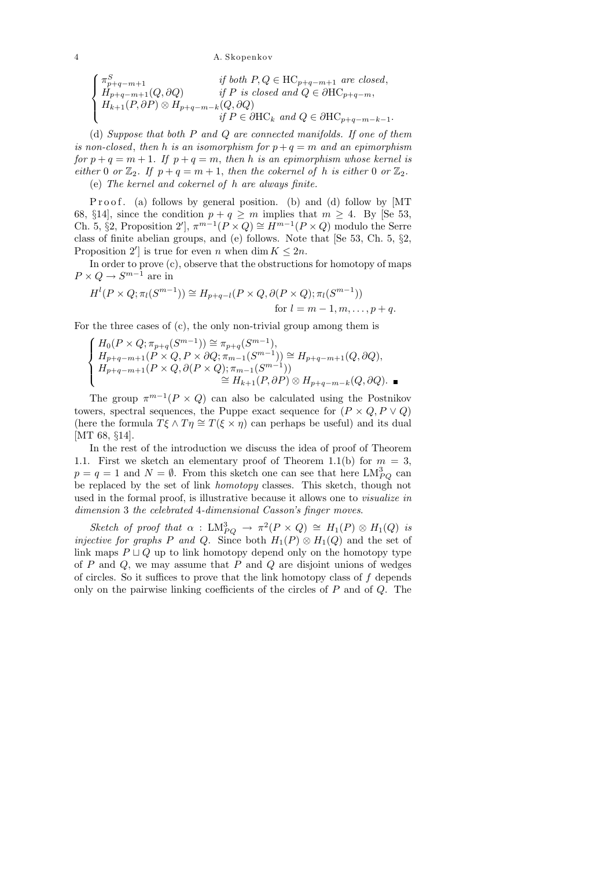$$
\begin{cases}\n\pi_{p+q-m+1}^{S} & \text{if both } P, Q \in \text{HC}_{p+q-m+1} \text{ are closed,} \\
H_{p+q-m+1}(Q, \partial Q) & \text{if } P \text{ is closed and } Q \in \partial \text{HC}_{p+q-m}, \\
H_{k+1}(P, \partial P) \otimes H_{p+q-m-k}(Q, \partial Q) & \text{if } P \in \partial \text{HC}_k \text{ and } Q \in \partial \text{HC}_{p+q-m-k-1}.\n\end{cases}
$$

(d) Suppose that both  $P$  and  $Q$  are connected manifolds. If one of them is non-closed, then h is an isomorphism for  $p + q = m$  and an epimorphism for  $p + q = m + 1$ . If  $p + q = m$ , then h is an epimorphism whose kernel is either 0 or  $\mathbb{Z}_2$ . If  $p + q = m + 1$ , then the cokernel of h is either 0 or  $\mathbb{Z}_2$ . (e) The kernel and cokernel of h are always finite.

P r o o f. (a) follows by general position. (b) and (d) follow by [MT 68, §14], since the condition  $p + q \ge m$  implies that  $m \ge 4$ . By [Se 53, Ch. 5, §2, Proposition 2'],  $\pi^{m-1}(P \times Q) \cong H^{m-1}(P \times Q)$  modulo the Serre class of finite abelian groups, and (e) follows. Note that [Se 53, Ch. 5, §2, Proposition 2' is true for even n when dim  $K \leq 2n$ .

In order to prove (c), observe that the obstructions for homotopy of maps  $P \times Q \to S^{m-1}$  are in

$$
H^l(P \times Q; \pi_l(S^{m-1})) \cong H_{p+q-l}(P \times Q, \partial(P \times Q); \pi_l(S^{m-1}))
$$
  
for  $l = m-1, m, \ldots, p+q$ .

For the three cases of (c), the only non-trivial group among them is

$$
\left\{\begin{aligned} &H_0(P\times Q;\pi_{p+q}(S^{m-1}))\cong \pi_{p+q}(S^{m-1}),\\ &H_{p+q-m+1}(P\times Q,P\times \partial Q;\pi_{m-1}(S^{m-1}))\cong H_{p+q-m+1}(Q,\partial Q),\\ &H_{p+q-m+1}(P\times Q,\partial(P\times Q);\pi_{m-1}(S^{m-1}))\\ &\cong H_{k+1}(P,\partial P)\otimes H_{p+q-m-k}(Q,\partial Q).\end{aligned}\right.
$$

The group  $\pi^{m-1}(P \times Q)$  can also be calculated using the Postnikov towers, spectral sequences, the Puppe exact sequence for  $(P \times Q, P \vee Q)$ (here the formula  $T\xi \wedge T\eta \cong T(\xi \times \eta)$  can perhaps be useful) and its dual [MT 68, §14].

In the rest of the introduction we discuss the idea of proof of Theorem 1.1. First we sketch an elementary proof of Theorem 1.1(b) for  $m = 3$ ,  $p = q = 1$  and  $N = \emptyset$ . From this sketch one can see that here  $LM_{PQ}^{3}$  can be replaced by the set of link homotopy classes. This sketch, though not used in the formal proof, is illustrative because it allows one to visualize in dimension 3 the celebrated 4-dimensional Casson's finger moves.

Sketch of proof that  $\alpha$ :  $LM_{PQ}^3 \rightarrow \pi^2(P \times Q) \cong H_1(P) \otimes H_1(Q)$  is *injective for graphs P and Q.* Since both  $H_1(P) \otimes H_1(Q)$  and the set of link maps  $P \sqcup Q$  up to link homotopy depend only on the homotopy type of  $P$  and  $Q$ , we may assume that  $P$  and  $Q$  are disjoint unions of wedges of circles. So it suffices to prove that the link homotopy class of  $f$  depends only on the pairwise linking coefficients of the circles of  $P$  and of  $Q$ . The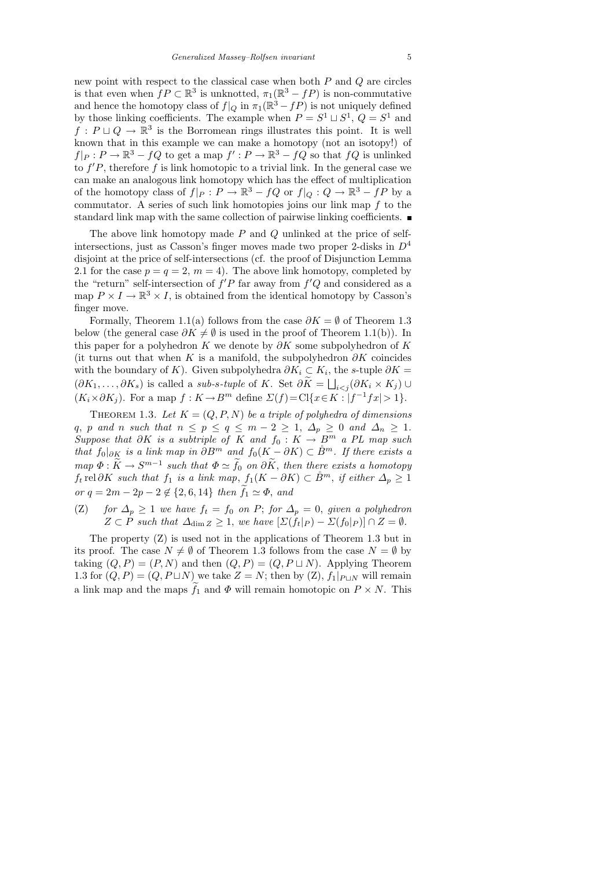new point with respect to the classical case when both  $P$  and  $Q$  are circles is that even when  $f P \subset \mathbb{R}^3$  is unknotted,  $\pi_1(\mathbb{R}^3 - fP)$  is non-commutative and hence the homotopy class of  $f|_Q$  in  $\pi_1(\mathbb{R}^3 - fP)$  is not uniquely defined by those linking coefficients. The example when  $P = S^1 \sqcup S^1$ ,  $Q = S^1$  and  $f: P \sqcup Q \to \mathbb{R}^3$  is the Borromean rings illustrates this point. It is well known that in this example we can make a homotopy (not an isotopy!) of  $f|_P: P \to \mathbb{R}^3 - fQ$  to get a map  $f': P \to \mathbb{R}^3 - fQ$  so that  $fQ$  is unlinked to  $f'P$ , therefore f is link homotopic to a trivial link. In the general case we can make an analogous link homotopy which has the effect of multiplication of the homotopy class of  $f|_P : P \to \mathbb{R}^3 - fQ$  or  $f|_Q : Q \to \mathbb{R}^3 - fP$  by a commutator. A series of such link homotopies joins our link map  $f$  to the standard link map with the same collection of pairwise linking coefficients.

The above link homotopy made  $P$  and  $Q$  unlinked at the price of selfintersections, just as Casson's finger moves made two proper 2-disks in  $D<sup>4</sup>$ disjoint at the price of self-intersections (cf. the proof of Disjunction Lemma 2.1 for the case  $p = q = 2, m = 4$ . The above link homotopy, completed by the "return" self-intersection of  $f'P$  far away from  $f'Q$  and considered as a map  $P \times I \to \mathbb{R}^3 \times I$ , is obtained from the identical homotopy by Casson's finger move.

Formally, Theorem 1.1(a) follows from the case  $\partial K = \emptyset$  of Theorem 1.3 below (the general case  $\partial K \neq \emptyset$  is used in the proof of Theorem 1.1(b)). In this paper for a polyhedron K we denote by  $\partial K$  some subpolyhedron of K (it turns out that when K is a manifold, the subpolyhedron  $\partial K$  coincides with the boundary of K). Given subpolyhedra  $\partial K_i \subset K_i$ , the s-tuple  $\partial K =$  $(\partial K_1, \ldots, \partial K_s)$  is called a *sub-s-tuple* of K. Set  $\partial K = \bigsqcup_{i < j} (\partial K_i \times K_j) \cup$  $(K_i \times \partial K_j)$ . For a map  $f: K \to B^m$  define  $\Sigma(f) = \mathrm{Cl}\{x \in K : |f^{-1}fx| > 1\}$ .

THEOREM 1.3. Let  $K = (Q, P, N)$  be a triple of polyhedra of dimensions q, p and n such that  $n \leq p \leq q \leq m-2 \geq 1$ ,  $\Delta_p \geq 0$  and  $\Delta_n \geq 1$ . Suppose that  $\partial K$  is a subtriple of K and  $f_0 : K \to B^m$  a PL map such that  $f_0|_{\partial K}$  is a link map in  $\partial B^m$  and  $f_0(K - \partial K) \subset \mathring{B}^m$ . If there exists a  $map \ \Phi : \widetilde{K} \to S^{m-1}$  such that  $\Phi \simeq \widetilde{f}_0$  on  $\partial \widetilde{K}$ , then there exists a homotopy  $f_t$  rel ∂K such that  $f_1$  is a link map,  $f_1(K - \partial K) \subset \overset{\circ}{B}^m$ , if either  $\Delta_p \geq 1$ or  $q = 2m - 2p - 2 \notin \{2, 6, 14\}$  then  $f_1 \simeq \Phi$ , and

(Z) for  $\Delta_p \geq 1$  we have  $f_t = f_0$  on P; for  $\Delta_p = 0$ , given a polyhedron  $Z \subset \hat{P}$  such that  $\Delta_{\dim Z} \geq 1$ , we have  $[\Sigma(\hat{f}_t|_P) - \Sigma(f_0|_P)] \cap Z = \emptyset$ .

The property (Z) is used not in the applications of Theorem 1.3 but in its proof. The case  $N \neq \emptyset$  of Theorem 1.3 follows from the case  $N = \emptyset$  by taking  $(Q, P) = (P, N)$  and then  $(Q, P) = (Q, P \sqcup N)$ . Applying Theorem 1.3 for  $(Q, P) = (Q, P \sqcup N)$  we take  $Z = N$ ; then by  $(Z)$ ,  $f_1|_{P \sqcup N}$  will remain a link map and the maps  $f_1$  and  $\Phi$  will remain homotopic on  $P \times N$ . This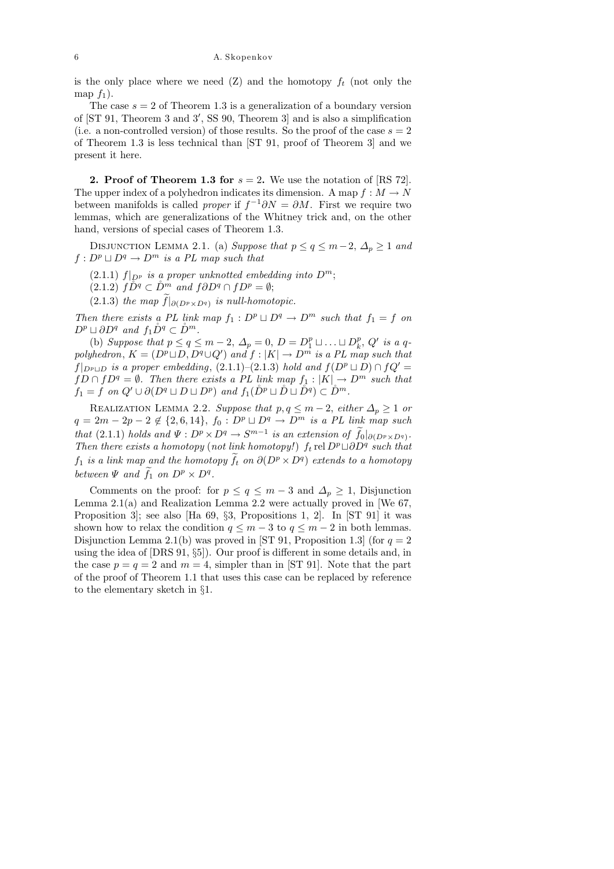is the only place where we need  $(Z)$  and the homotopy  $f_t$  (not only the map  $f_1$ ).

The case  $s = 2$  of Theorem 1.3 is a generalization of a boundary version of  $[ST 91, Theorem 3 and 3', SS 90, Theorem 3]$  and is also a simplification (i.e. a non-controlled version) of those results. So the proof of the case  $s = 2$ of Theorem 1.3 is less technical than [ST 91, proof of Theorem 3] and we present it here.

**2. Proof of Theorem 1.3 for**  $s = 2$ . We use the notation of [RS 72]. The upper index of a polyhedron indicates its dimension. A map  $f : M \to N$ between manifolds is called *proper* if  $f^{-1}\partial N = \partial M$ . First we require two lemmas, which are generalizations of the Whitney trick and, on the other hand, versions of special cases of Theorem 1.3.

DISJUNCTION LEMMA 2.1. (a) Suppose that  $p \le q \le m-2$ ,  $\Delta_p \ge 1$  and  $f: D^p \sqcup D^q \rightarrow D^m$  is a PL map such that

(2.1.1)  $f|_{D^p}$  is a proper unknotted embedding into  $D^m$ ;

 $(2.1.2)$   $\hat{D}^q \subset \hat{D}^m$  and  $\hat{f}\partial D^q \cap fD^p = \emptyset;$ 

(2.1.3) the map  $f|_{\partial (D^p \times D^q)}$  is null-homotopic.

Then there exists a PL link map  $f_1 : D^p \sqcup D^q \rightarrow D^m$  such that  $f_1 = f$  on  $D^p \sqcup \partial D^q$  and  $f_1 \r D^q \subset \r D^m$ .

(b) Suppose that  $p \le q \le m-2$ ,  $\Delta_p = 0$ ,  $D = D_1^p \sqcup \ldots \sqcup D_k^p$  $_k^p$ , Q' is a qpolyhedron,  $K = (D^p \sqcup D, D^q \cup Q')$  and  $f : |K| \to D^m$  is a PL map such that  $f|_{D^p \cup D}$  is a proper embedding, (2.1.1)–(2.1.3) hold and  $f(D^p \cup D) \cap f Q' =$  $fD \cap fD^q = \emptyset$ . Then there exists a PL link map  $f_1 : |K| \to D^m$  such that  $f_1 = f$  on  $Q' \cup \partial (D^q \sqcup D \sqcup D^p)$  and  $f_1(\r{D}^p \sqcup \r{D} \sqcup \r{D}^q) \subset \r{D}^m$ .

REALIZATION LEMMA 2.2. Suppose that  $p, q \leq m-2$ , either  $\Delta_p \geq 1$  or  $q = 2m - 2p - 2 \notin \{2, 6, 14\}, f_0 : D^p \sqcup D^q \rightarrow D^m$  is a PL link map such that (2.1.1) holds and  $\Psi : D^p \times D^q \to S^{m-1}$  is an extension of  $f_0|_{\partial (D^p \times D^q)}$ . Then there exists a homotopy (not link homotopy!) f<sub>t</sub> rel  $D^p \cup \partial D^q$  such that  $f_1$  is a link map and the homotopy  $\tilde{f}_t$  on  $\partial(D^p \times D^q)$  extends to a homotopy between  $\Psi$  and  $\tilde{f}_1$  on  $D^p \times D^q$ .

Comments on the proof: for  $p \le q \le m-3$  and  $\Delta_p \ge 1$ , Disjunction Lemma 2.1(a) and Realization Lemma 2.2 were actually proved in [We  $67$ , Proposition 3]; see also [Ha 69, §3, Propositions 1, 2]. In [ST 91] it was shown how to relax the condition  $q \leq m-3$  to  $q \leq m-2$  in both lemmas. Disjunction Lemma 2.1(b) was proved in [ST 91, Proposition 1.3] (for  $q = 2$ using the idea of [DRS 91, §5]). Our proof is different in some details and, in the case  $p = q = 2$  and  $m = 4$ , simpler than in [ST 91]. Note that the part of the proof of Theorem 1.1 that uses this case can be replaced by reference to the elementary sketch in §1.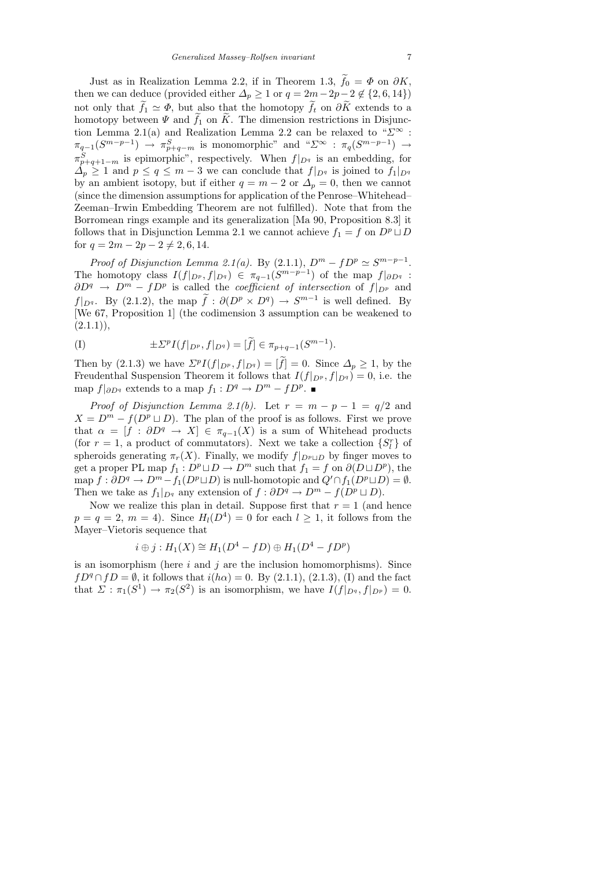Just as in Realization Lemma 2.2, if in Theorem 1.3,  $f_0 = \Phi$  on  $\partial K$ , then we can deduce (provided either  $\Delta_p \geq 1$  or  $q = 2m - 2p - 2 \notin \{2, 6, 14\}$ ) not only that  $f_1 \simeq \Phi$ , but also that the homotopy  $f_t$  on  $\partial K$  extends to a homotopy between  $\Psi$  and  $f_1$  on K. The dimension restrictions in Disjunction Lemma 2.1(a) and Realization Lemma 2.2 can be relaxed to " $\Sigma^{\infty}$ :  $\pi_{q-1}(S^{m-p-1}) \rightarrow \pi_{p+q-m}^S$  is monomorphic" and " $\Sigma^{\infty}$ :  $\pi_q(S^{m-p-1}) \rightarrow$  $\pi_{p+q+1-m}^{S}$  is epimorphic", respectively. When  $f|_{D^{q}}$  is an embedding, for  $\Delta_p \geq 1$  and  $p \leq q \leq m-3$  we can conclude that  $f|_{D^q}$  is joined to  $f_1|_{D^q}$ by an ambient isotopy, but if either  $q = m - 2$  or  $\Delta_p = 0$ , then we cannot (since the dimension assumptions for application of the Penrose–Whitehead– Zeeman–Irwin Embedding Theorem are not fulfilled). Note that from the Borromean rings example and its generalization [Ma 90, Proposition 8.3] it follows that in Disjunction Lemma 2.1 we cannot achieve  $f_1 = f$  on  $D^p \sqcup D$ for  $q = 2m - 2p - 2 \neq 2, 6, 14$ .

Proof of Disjunction Lemma 2.1(a). By (2.1.1),  $D^m - fD^p \simeq S^{m-p-1}$ . The homotopy class  $I(f|_{D^p}, f|_{D^q}) \in \pi_{q-1}(S^{m-p-1})$  of the map  $f|_{\partial D^q}$ :  $\partial D^q \to D^m - f D^p$  is called the *coefficient of intersection* of  $f|_{D^p}$  and  $f|_{D^q}$ . By (2.1.2), the map  $\tilde{f}: \partial(D^p \times D^q) \to S^{m-1}$  is well defined. By [We 67, Proposition 1] (the codimension 3 assumption can be weakened to  $(2.1.1)$ ,

(I) 
$$
\pm \Sigma^{p} I(f|_{D^{p}}, f|_{D^{q}}) = [\widetilde{f}] \in \pi_{p+q-1}(S^{m-1}).
$$

Then by (2.1.3) we have  $\mathcal{L}^p I(f|_{D^p}, f|_{D^q}) = [\tilde{f}] = 0$ . Since  $\Delta_p \geq 1$ , by the Freudenthal Suspension Theorem it follows that  $I(f|_{D^p}, f|_{D^q}) = 0$ , i.e. the map  $f|_{\partial D^q}$  extends to a map  $f_1: D^q \to D^m - f D^p$ .

Proof of Disjunction Lemma 2.1(b). Let  $r = m - p - 1 = q/2$  and  $X = D^m - f(D^p \sqcup D)$ . The plan of the proof is as follows. First we prove that  $\alpha = [f : \partial D^q \to X] \in \pi_{q-1}(X)$  is a sum of Whitehead products (for  $r = 1$ , a product of commutators). Next we take a collection  $\{S_l^r\}$  of spheroids generating  $\pi_r(X)$ . Finally, we modify  $f|_{D^p \cup D}$  by finger moves to get a proper PL map  $f_1: D^p \sqcup D \to D^m$  such that  $f_1 = f$  on  $\partial (D \sqcup D^p)$ , the map  $f : \partial D^q \to D^m - f_1(D^p \sqcup D)$  is null-homotopic and  $Q' \cap f_1(D^p \sqcup D) = \emptyset$ . Then we take as  $f_1|_{D^q}$  any extension of  $f : \partial D^q \to D^m - f(D^p \sqcup D)$ .

Now we realize this plan in detail. Suppose first that  $r = 1$  (and hence  $p = q = 2, m = 4$ ). Since  $H_l(D^4) = 0$  for each  $l \geq 1$ , it follows from the Mayer–Vietoris sequence that

$$
i \oplus j : H_1(X) \cong H_1(D^4 - fD) \oplus H_1(D^4 - fD^p)
$$

is an isomorphism (here  $i$  and  $j$  are the inclusion homomorphisms). Since  $fD^q \cap fD = \emptyset$ , it follows that  $i(h\alpha) = 0$ . By  $(2.1.1)$ ,  $(2.1.3)$ ,  $(I)$  and the fact that  $\Sigma : \pi_1(S^1) \to \pi_2(S^2)$  is an isomorphism, we have  $I(f|_{D^q}, f|_{D^p}) = 0$ .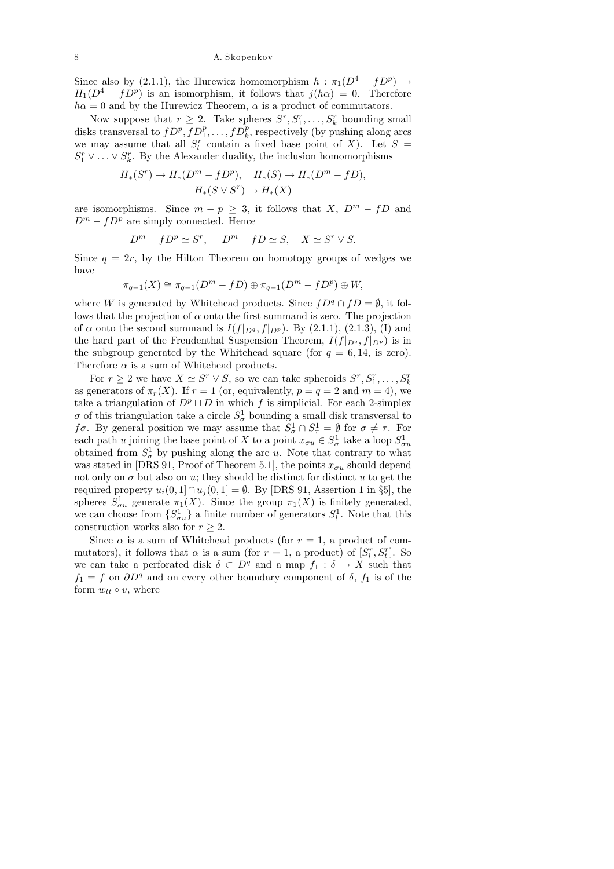Since also by (2.1.1), the Hurewicz homomorphism  $h : \pi_1(D^4 - fD^p) \rightarrow$  $H_1(D^4 - fD^p)$  is an isomorphism, it follows that  $j(h\alpha) = 0$ . Therefore  $h\alpha = 0$  and by the Hurewicz Theorem,  $\alpha$  is a product of commutators.

Now suppose that  $r \geq 2$ . Take spheres  $S^r, S_1^r, \ldots, S_k^r$  bounding small disks transversal to  $fD^p, fD_1^p, \ldots, fD_k^p$ , respectively (by pushing along arcs we may assume that all  $S_l^r$  contain a fixed base point of X). Let  $S =$  $S_1^r \vee \ldots \vee S_k^r$ . By the Alexander duality, the inclusion homomorphisms

$$
H_*(S^r) \to H_*(D^m - fD^p), \quad H_*(S) \to H_*(D^m - fD),
$$
  
 $H_*(S \vee S^r) \to H_*(X)$ 

are isomorphisms. Since  $m - p \geq 3$ , it follows that X,  $D^m - fD$  and  $D^m - fD^p$  are simply connected. Hence

$$
D^m - fD^p \simeq S^r, \quad D^m - fD \simeq S, \quad X \simeq S^r \vee S.
$$

Since  $q = 2r$ , by the Hilton Theorem on homotopy groups of wedges we have

$$
\pi_{q-1}(X) \cong \pi_{q-1}(D^m - fD) \oplus \pi_{q-1}(D^m - fD^p) \oplus W,
$$

where W is generated by Whitehead products. Since  $fD^q \cap fD = \emptyset$ , it follows that the projection of  $\alpha$  onto the first summand is zero. The projection of  $\alpha$  onto the second summand is  $I(f|_{D^q}, f|_{D^p})$ . By (2.1.1), (2.1.3), (I) and the hard part of the Freudenthal Suspension Theorem,  $I(f|_{D^q}, f|_{D^p})$  is in the subgroup generated by the Whitehead square (for  $q = 6, 14$ , is zero). Therefore  $\alpha$  is a sum of Whitehead products.

For  $r \geq 2$  we have  $X \simeq S^r \vee S$ , so we can take spheroids  $S^r, S_1^r, \ldots, S_k^r$ as generators of  $\pi_r(X)$ . If  $r = 1$  (or, equivalently,  $p = q = 2$  and  $m = 4$ ), we take a triangulation of  $D^p \sqcup D$  in which f is simplicial. For each 2-simplex  $\sigma$  of this triangulation take a circle  $S^1_\sigma$  bounding a small disk transversal to for By general position we may assume that  $S^1_\sigma \cap S^1_\tau = \emptyset$  for  $\sigma \neq \tau$ . For each path u joining the base point of X to a point  $x_{\sigma u} \in S^1_{\sigma}$  take a loop  $S^1_{\sigma u}$ obtained from  $S^1_{\sigma}$  by pushing along the arc u. Note that contrary to what was stated in [DRS 91, Proof of Theorem 5.1], the points  $x_{\sigma u}$  should depend not only on  $\sigma$  but also on u; they should be distinct for distinct u to get the required property  $u_i(0, 1] \cap u_i(0, 1] = \emptyset$ . By [DRS 91, Assertion 1 in §5], the spheres  $S^1_{\sigma u}$  generate  $\pi_1(X)$ . Since the group  $\pi_1(X)$  is finitely generated, we can choose from  $\{S^1_{\sigma u}\}\$ a finite number of generators  $S^1_l$ . Note that this construction works also for  $r \geq 2$ .

Since  $\alpha$  is a sum of Whitehead products (for  $r = 1$ , a product of commutators), it follows that  $\alpha$  is a sum (for  $r = 1$ , a product) of  $[S_l^r, S_l^r]$ . So we can take a perforated disk  $\delta \subset D^q$  and a map  $f_1 : \delta \to X$  such that  $f_1 = f$  on  $\partial D^q$  and on every other boundary component of  $\delta$ ,  $f_1$  is of the form  $w_{lt} \circ v$ , where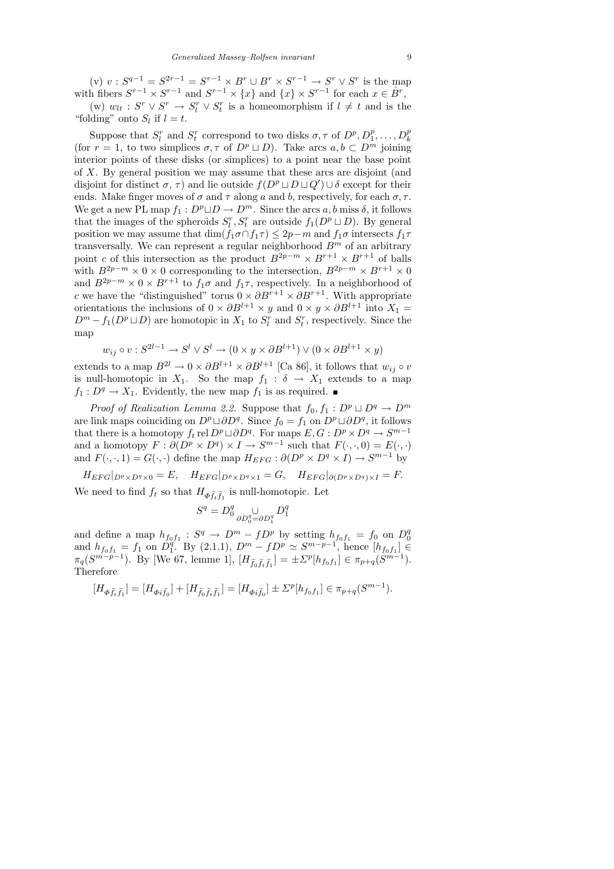(v)  $v : S^{q-1} = S^{2r-1} = S^{r-1} \times B^r \cup B^r \times S^{r-1} \to S^r \vee S^r$  is the map with fibers  $S^{r-1} \times S^{r-1}$  and  $S^{r-1} \times \{x\}$  and  $\{x\} \times S^{r-1}$  for each  $x \in \overset{\circ}{B}^r$ ,

(w)  $w_{lt}$ :  $S^r \vee S^r \rightarrow S^r_l \vee S^r_t$  is a homeomorphism if  $l \neq t$  and is the "folding" onto  $S_l$  if  $l = t$ .

Suppose that  $S_l^r$  and  $S_t^r$  correspond to two disks  $\sigma, \tau$  of  $D^p, D_1^p, \ldots, D_k^p$ (for  $r = 1$ , to two simplices  $\sigma, \tau$  of  $D^p \sqcup D$ ). Take arcs  $a, b \subset D^m$  joining interior points of these disks (or simplices) to a point near the base point of X. By general position we may assume that these arcs are disjoint (and disjoint for distinct  $\sigma$ ,  $\tau$ ) and lie outside  $f(D^p \sqcup D \sqcup Q') \cup \delta$  except for their ends. Make finger moves of  $\sigma$  and  $\tau$  along a and b, respectively, for each  $\sigma$ ,  $\tau$ . We get a new PL map  $f_1 : D^p \sqcup D \to D^m$ . Since the arcs a, b miss  $\delta$ , it follows that the images of the spheroids  $S_l^r, S_t^r$  are outside  $f_1(D^p \sqcup D)$ . By general position we may assume that  $\dim(f_1 \sigma \cap f_1 \tau) \leq 2p - m$  and  $f_1 \sigma$  intersects  $f_1 \tau$ transversally. We can represent a regular neighborhood  $B<sup>m</sup>$  of an arbitrary point c of this intersection as the product  $B^{2p-m} \times B^{r+1} \times B^{r+1}$  of balls with  $B^{2p-m} \times 0 \times 0$  corresponding to the intersection,  $B^{2p-m} \times B^{r+1} \times 0$ and  $B^{2p-m} \times 0 \times B^{r+1}$  to  $f_1 \sigma$  and  $f_1 \tau$ , respectively. In a neighborhood of c we have the "distinguished" torus  $0 \times \partial B^{r+1} \times \partial B^{r+1}$ . With appropriate orientations the inclusions of  $0 \times \partial B^{l+1} \times y$  and  $0 \times y \times \partial B^{l+1}$  into  $X_1 =$  $D^m - f_1(D^p \sqcup D)$  are homotopic in  $X_1$  to  $S_l^r$  and  $S_l^r$ , respectively. Since the map

$$
w_{ij} \circ v : S^{2l-1} \to S^l \vee S^l \to (0 \times y \times \partial B^{l+1}) \vee (0 \times \partial B^{l+1} \times y)
$$

extends to a map  $B^{2l} \to 0 \times \partial B^{l+1} \times \partial B^{l+1}$  [Ca 86], it follows that  $w_{ij} \circ v$ is null-homotopic in  $X_1$ . So the map  $f_1 : \delta \to X_1$  extends to a map  $f_1 : D^q \to X_1$ . Evidently, the new map  $f_1$  is as required.  $\blacksquare$ 

*Proof of Realization Lemma 2.2.* Suppose that  $f_0, f_1 : D^p \sqcup D^q \rightarrow D^m$ are link maps coinciding on  $D^p \sqcup \partial D^q$ . Since  $f_0 = f_1$  on  $D^p \sqcup \partial D^q$ , it follows that there is a homotopy  $f_t$  rel  $D^p \sqcup \partial D^q$ . For maps  $E, G: D^p \times D^q \to S^{m-1}$ and a homotopy  $F : \partial (D^p \times D^q) \times I \to S^{m-1}$  such that  $F(\cdot, \cdot, 0) = E(\cdot, \cdot)$ and  $F(\cdot, \cdot, 1) = G(\cdot, \cdot)$  define the map  $H_{EFG} : \partial(D^p \times D^q \times I) \to S^{m-1}$  by

 $H_{EFG}|_{D^p\times D^q\times 0} = E$ ,  $H_{EFG}|_{D^p\times D^q\times 1} = G$ ,  $H_{EFG}|_{\partial (D^p\times D^q)\times I} = F$ . We need to find  $f_t$  so that  $H_{\Phi \tilde{f}_t \tilde{f}_1}$  is null-homotopic. Let

$$
S^q=D^q_0\mathop{\cup}\limits_{\partial D^q_0=\partial D^q_1}D^q_1
$$

and define a map  $h_{f_0f_1}: S^q \to D^m - fD^p$  by setting  $h_{f_0f_1} = f_0$  on  $D_0^q$ and define a map  $n_{f_0f_1}$ .  $S^1 \to D^0 - J D^0$  by setting  $n_{f_0f_1} = J_0$  on  $D_0$ <br>and  $h_{f_0f_1} = f_1$  on  $D_1^q$ . By (2.1.1),  $D^m - f D^p \simeq S^{m-p-1}$ , hence  $[h_{f_0f_1}] \in$ <sup>q</sup>. By (2.1.1),  $D^m - fD^p \simeq S^{m-p-1}$ , hence [h<sub>fof1</sub>] ∈  $\pi_q(S^{m-p-1})$ . By [We 67, lemme 1],  $[H_{\tilde{f}_0\tilde{f}_t\tilde{f}_1}] = \pm \Sigma^p[h_{f_0f_1}] \in \pi_{p+q}(S^{m-1})$ . Therefore

$$
[H_{\varPhi \tilde{f}_t \tilde{f}_1}] = [H_{\varPhi i \tilde{f}_0}] + [H_{\tilde{f}_0 \tilde{f}_t \tilde{f}_1}] = [H_{\varPhi i \tilde{f}_0}] \pm \Sigma^p [h_{f_0 f_1}] \in \pi_{p+q}(S^{m-1}).
$$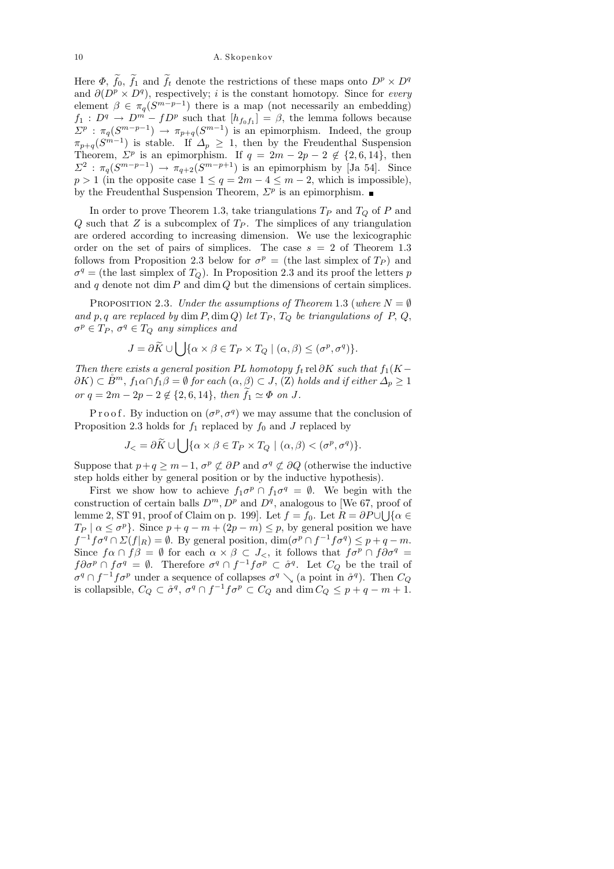Here  $\Phi$ ,  $f_0$ ,  $f_1$  and  $f_t$  denote the restrictions of these maps onto  $D^p \times D^q$ and  $\partial (D^p \times D^q)$ , respectively; *i* is the constant homotopy. Since for *every* element  $\beta \in \pi_q(S^{m-p-1})$  there is a map (not necessarily an embedding)  $f_1: D^q \to D^m - f D^p$  such that  $[h_{f_0 f_1}] = \beta$ , the lemma follows because  $\Sigma^p : \pi_q(S^{m-p-1}) \to \pi_{p+q}(S^{m-1})$  is an epimorphism. Indeed, the group  $\pi_{p+q}(S^{m-1})$  is stable. If  $\Delta_p \geq 1$ , then by the Freudenthal Suspension Theorem,  $\Sigma^p$  is an epimorphism. If  $q = 2m - 2p - 2 \notin \{2, 6, 14\}$ , then  $\Sigma^2$ :  $\pi_q(S^{m-p-1}) \to \pi_{q+2}(S^{m-p+1})$  is an epimorphism by [Ja 54]. Since  $p > 1$  (in the opposite case  $1 \leq q = 2m - 4 \leq m - 2$ , which is impossible), by the Freudenthal Suspension Theorem,  $\Sigma^p$  is an epimorphism.

In order to prove Theorem 1.3, take triangulations  $T_P$  and  $T_Q$  of P and Q such that Z is a subcomplex of  $T_P$ . The simplices of any triangulation are ordered according to increasing dimension. We use the lexicographic order on the set of pairs of simplices. The case  $s = 2$  of Theorem 1.3 follows from Proposition 2.3 below for  $\sigma^p =$  (the last simplex of  $T_P$ ) and  $\sigma^q$  = (the last simplex of  $T_Q$ ). In Proposition 2.3 and its proof the letters p and  $q$  denote not dim  $P$  and dim  $Q$  but the dimensions of certain simplices.

PROPOSITION 2.3. Under the assumptions of Theorem 1.3 (where  $N = \emptyset$ and p, q are replaced by dim P, dim Q) let  $T_P$ ,  $T_Q$  be triangulations of P, Q,  $\sigma^p \in T_P$ ,  $\sigma^q \in T_Q$  any simplices and

$$
J = \partial \widetilde{K} \cup \bigcup \{ \alpha \times \beta \in T_P \times T_Q \mid (\alpha, \beta) \leq (\sigma^p, \sigma^q) \}.
$$

Then there exists a general position PL homotopy  $f_t$  rel  $\partial K$  such that  $f_1(K \partial K) \subset \mathring{B}^m$ ,  $f_1 \alpha \cap f_1 \beta = \emptyset$  for each  $(\alpha, \beta) \subset J$ ,  $(Z)$  holds and if either  $\Delta_p \geq 1$ or  $q = 2m - 2p - 2 \notin \{2, 6, 14\}$ , then  $f_1 \simeq \Phi$  on J.

Proof. By induction on  $(\sigma^p, \sigma^q)$  we may assume that the conclusion of Proposition 2.3 holds for  $f_1$  replaced by  $f_0$  and J replaced by

$$
J_{<} = \partial \widetilde{K} \cup \bigcup \{\alpha \times \beta \in T_P \times T_Q \mid (\alpha, \beta) < (\sigma^p, \sigma^q) \}.
$$

Suppose that  $p+q \geq m-1$ ,  $\sigma^p \not\subset \partial P$  and  $\sigma^q \not\subset \partial Q$  (otherwise the inductive step holds either by general position or by the inductive hypothesis).

First we show how to achieve  $f_1 \sigma^p \cap f_1 \sigma^q = \emptyset$ . We begin with the construction of certain balls  $D^m$ ,  $D^p$  and  $D^q$ , analogous to [We 67, proof of lemme 2, ST 91, proof of Claim on p. 199]. Let  $f = f_0$ . Let  $R = \partial P \cup \bigcup \{\alpha \in P : |f(\alpha)| \leq \alpha\}$  $T_P | \alpha \leq \sigma^p$ . Since  $p + q - m + (2p - m) \leq p$ , by general position we have  $f^{-1}f\sigma^q \cap \Sigma(f|_R) = \emptyset$ . By general position,  $\dim(\sigma^p \cap f^{-1}f\sigma^q) \leq p+q-m$ . Since  $f\alpha \cap f\beta = \emptyset$  for each  $\alpha \times \beta \subset J_{\le}$ , it follows that  $f\sigma^p \cap f\partial \sigma^q =$  $f\partial\sigma^p \cap f\sigma^q = \emptyset$ . Therefore  $\sigma^q \cap f^{-1}f\sigma^p \subset \mathring{\sigma}^q$ . Let  $C_Q$  be the trail of  $\sigma^q \cap f^{-1} f \sigma^p$  under a sequence of collapses  $\sigma^q \searrow$  (a point in  $\mathring{\sigma}^q$ ). Then  $C_Q$ is collapsible,  $C_Q \subset \mathring{\sigma}^q$ ,  $\sigma^q \cap f^{-1} f \sigma^p \subset C_Q$  and  $\dim C_Q \leq p+q-m+1$ .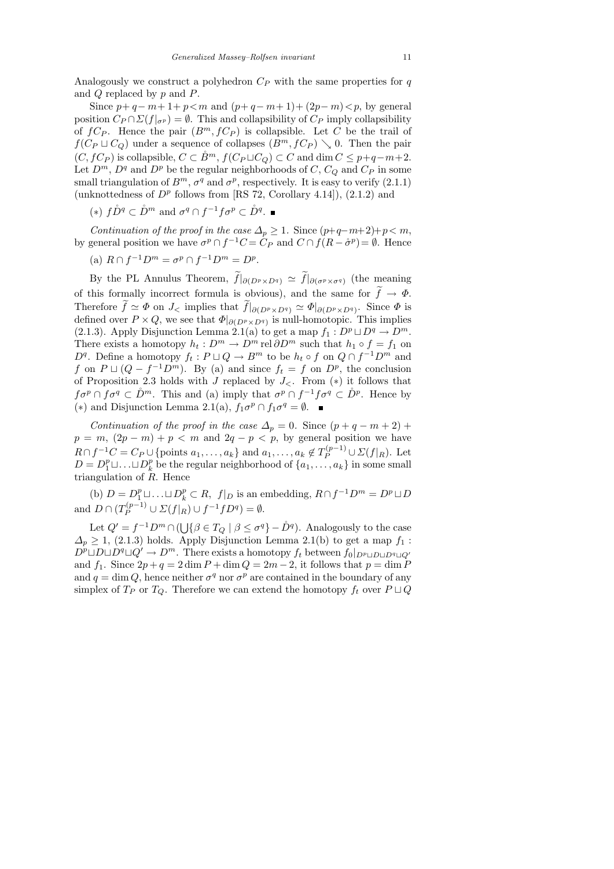Analogously we construct a polyhedron  $C_P$  with the same properties for q and Q replaced by p and P.

Since  $p + q - m + 1 + p < m$  and  $(p + q - m + 1) + (2p - m) < p$ , by general position  $C_P \cap \Sigma(f|_{\sigma^p}) = \emptyset$ . This and collapsibility of  $C_P$  imply collapsibility of  $fC_P$ . Hence the pair  $(B^m, fC_P)$  is collapsible. Let C be the trail of  $f(C_P \sqcup C_Q)$  under a sequence of collapses  $(B^m, fC_P) \searrow 0$ . Then the pair  $(C, fC_P)$  is collapsible,  $C \subset \overset{\circ}{B}{}^m$ ,  $f(C_P \sqcup C_Q) \subset C$  and  $\dim C \leq p+q-m+2$ . Let  $D^m$ ,  $D^q$  and  $D^p$  be the regular neighborhoods of  $C$ ,  $C_Q$  and  $C_P$  in some small triangulation of  $B^m$ ,  $\sigma^q$  and  $\sigma^p$ , respectively. It is easy to verify (2.1.1) (unknottedness of  $D^p$  follows from [RS 72, Corollary 4.14]), (2.1.2) and

(\*)  $f\r D^q \subset \r D^m$  and  $\sigma^q \cap f^{-1}f\sigma^p \subset \r D^q$ .

Continuation of the proof in the case  $\Delta_p \geq 1$ . Since  $(p+q-m+2)+p < m$ , by general position we have  $\sigma^p \cap f^{-1}C = C_P$  and  $C \cap f(R - \mathring{\sigma}^p) = \emptyset$ . Hence

(a) 
$$
R \cap f^{-1}D^m = \sigma^p \cap f^{-1}D^m = D^p
$$
.

By the PL Annulus Theorem,  $f|_{\partial (D^p \times D^q)} \simeq f|_{\partial (\sigma^p \times \sigma^q)}$  (the meaning of this formally incorrect formula is obvious), and the same for  $f \to \Phi$ . Therefore  $f \simeq \Phi$  on  $J<$  implies that  $f|_{\partial (D^p \times D^q)} \simeq \Phi|_{\partial (D^p \times D^q)}$ . Since  $\Phi$  is defined over  $P \times Q$ , we see that  $\Phi|_{\partial (D^p \times D^q)}$  is null-homotopic. This implies (2.1.3). Apply Disjunction Lemma 2.1(a) to get a map  $f_1 : D^p \sqcup D^q \to D^m$ . There exists a homotopy  $h_t: D^m \to D^m$  rel  $\partial D^m$  such that  $h_1 \circ f = f_1$  on  $D<sup>q</sup>$ . Define a homotopy  $f_t: P \sqcup Q \to B<sup>m</sup>$  to be  $h_t \circ f$  on  $Q \cap f^{-1}D<sup>m</sup>$  and f on  $P \sqcup (Q - f^{-1}D^m)$ . By (a) and since  $f_t = f$  on  $D^p$ , the conclusion of Proposition 2.3 holds with  $J$  replaced by  $J_{\leq}$ . From (\*) it follows that  $f\sigma^p \cap f\sigma^q \subset \mathring{D}^m$ . This and (a) imply that  $\sigma^p \cap f^{-1}f\sigma^q \subset \mathring{D}^p$ . Hence by (\*) and Disjunction Lemma 2.1(a),  $f_1 \sigma^p \cap f_1 \sigma^q = \emptyset$ .

Continuation of the proof in the case  $\Delta_p = 0$ . Since  $(p + q - m + 2)$  +  $p = m$ ,  $(2p - m) + p < m$  and  $2q - p < p$ , by general position we have  $R \cap f^{-1}C = C_P \cup \{\text{points } a_1, \ldots, a_k\}$  and  $a_1, \ldots, a_k \notin T_P^{(p-1)} \cup \Sigma(f|_R)$ . Let  $D = D_1^p \sqcup \ldots \sqcup D_k^p$  $\{a_k, \ldots, a_k\}$  in some small triangulation of  $R$ . Hence

(b)  $D = D_1^p \sqcup \ldots \sqcup D_k^p \subset R$ ,  $f|_D$  is an embedding,  $R \cap f^{-1}D^m = D^p \sqcup D$ and  $D \cap (T_P^{(p-1)} \cup \Sigma(f|_R) \cup f^{-1}fD^q) = \emptyset$ .

Let  $Q' = f^{-1}D^m \cap (\bigcup \{ \beta \in T_Q \mid \beta \le \sigma^q \} - \mathring{D}^q)$ . Analogously to the case  $\Delta_p \geq 1$ , (2.1.3) holds. Apply Disjunction Lemma 2.1(b) to get a map  $f_1$ :  $D^p \sqcup D \sqcup D^q \sqcup Q' \to D^m$ . There exists a homotopy  $f_t$  between  $f_0|_{D^p \sqcup D \sqcup D^q \sqcup Q'}$ and  $f_1$ . Since  $2p + q = 2 \dim P + \dim Q = 2m - 2$ , it follows that  $p = \dim P$ and  $q = \dim Q$ , hence neither  $\sigma^q$  nor  $\sigma^p$  are contained in the boundary of any simplex of  $T_P$  or  $T_Q$ . Therefore we can extend the homotopy  $f_t$  over  $P \sqcup Q$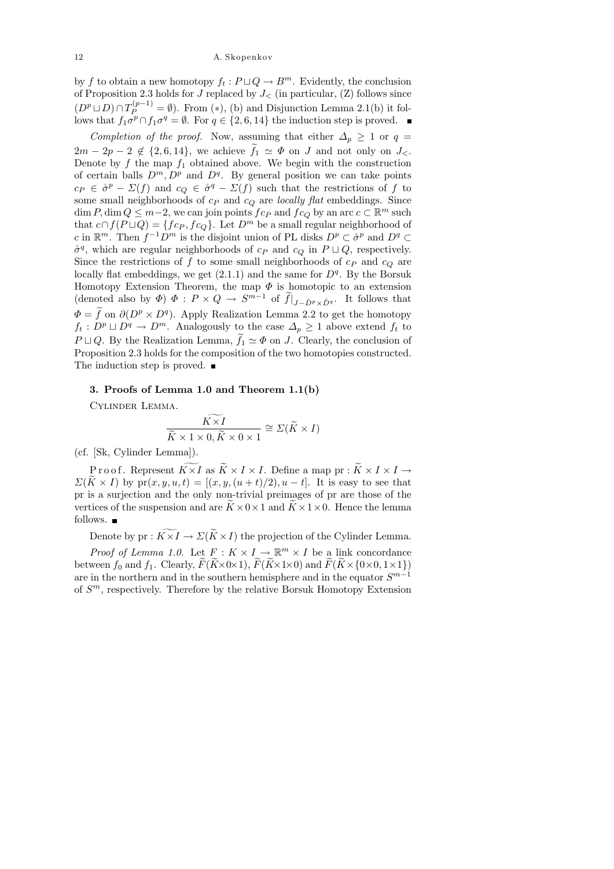by f to obtain a new homotopy  $f_t : P \sqcup Q \to B^m$ . Evidently, the conclusion of Proposition 2.3 holds for J replaced by  $J<$  (in particular, (Z) follows since  $(D^p \sqcup D) \cap T_P^{(p-1)} = \emptyset$ . From (\*), (b) and Disjunction Lemma 2.1(b) it follows that  $f_1 \sigma^p \cap f_1 \sigma^q = \emptyset$ . For  $q \in \{2, 6, 14\}$  the induction step is proved.

Completion of the proof. Now, assuming that either  $\Delta_p \geq 1$  or  $q =$  $2m - 2p - 2 \notin \{2, 6, 14\}$ , we achieve  $f_1 \simeq \Phi$  on J and not only on  $J_{\leq}$ . Denote by  $f$  the map  $f_1$  obtained above. We begin with the construction of certain balls  $D^m$ ,  $D^p$  and  $D^q$ . By general position we can take points  $c_P \in \mathring{\sigma}^p - \Sigma(f)$  and  $c_Q \in \mathring{\sigma}^q - \Sigma(f)$  such that the restrictions of f to some small neighborhoods of  $c_P$  and  $c_Q$  are locally flat embeddings. Since dim  $P$ , dim  $Q \leq m-2$ , we can join points  $fc_P$  and  $fc_Q$  by an arc  $c \subset \mathbb{R}^m$  such that  $c \cap f(P \sqcup Q) = \{fc_P, fc_Q\}$ . Let  $D^m$  be a small regular neighborhood of c in  $\mathbb{R}^m$ . Then  $f^{-1}D^m$  is the disjoint union of PL disks  $D^p \subset \overset{\circ}{\sigma}^p$  and  $D^q \subset$  $\mathring{\sigma}^q$ , which are regular neighborhoods of  $c_P$  and  $c_Q$  in  $P \sqcup Q$ , respectively. Since the restrictions of f to some small neighborhoods of  $c_P$  and  $c_Q$  are locally flat embeddings, we get  $(2.1.1)$  and the same for  $D<sup>q</sup>$ . By the Borsuk Homotopy Extension Theorem, the map  $\Phi$  is homotopic to an extension (denoted also by  $\Phi$ )  $\Phi$  :  $P \times Q \to S^{m-1}$  of  $\tilde{f}|_{J-\tilde{D}^p \times \tilde{D}^q}$ . It follows that  $\Phi = f$  on  $\partial (D^p \times D^q)$ . Apply Realization Lemma 2.2 to get the homotopy  $f_t: D^p \sqcup D^q \to D^m$ . Analogously to the case  $\Delta_p \geq 1$  above extend  $f_t$  to  $P \sqcup Q$ . By the Realization Lemma,  $f_1 \simeq \Phi$  on J. Clearly, the conclusion of Proposition 2.3 holds for the composition of the two homotopies constructed. The induction step is proved. ■

## 3. Proofs of Lemma 1.0 and Theorem 1.1(b)

Cylinder Lemma.

$$
\frac{K \times I}{\widetilde{K} \times 1 \times 0, \widetilde{K} \times 0 \times 1} \cong \Sigma(\widetilde{K} \times I)
$$

(cf. [Sk, Cylinder Lemma]).

P r o o f. Represent  $\widetilde{K\times I}$  as  $\widetilde{K}\times I\times I$ . Define a map pr :  $\widetilde{K}\times I\times I\rightarrow$  $\Sigma(K \times I)$  by  $pr(x, y, u, t) = [(x, y, (u + t)/2), u - t]$ . It is easy to see that pr is a surjection and the only non-trivial preimages of pr are those of the vertices of the suspension and are  $K \times 0 \times 1$  and  $K \times 1 \times 0$ . Hence the lemma follows.

Denote by pr :  $\widetilde{K \times I} \to \Sigma (\widetilde{K} \times I)$  the projection of the Cylinder Lemma.

*Proof of Lemma 1.0.* Let  $F: K \times I \to \mathbb{R}^m \times I$  be a link concordance between  $f_0$  and  $f_1$ . Clearly,  $\widetilde{F}(\widetilde{K}\times 0\times 1)$ ,  $\widetilde{F}(\widetilde{K}\times 1\times 0)$  and  $\widetilde{F}(\widetilde{K}\times \{0\times0,1\times1\})$ are in the northern and in the southern hemisphere and in the equator  $S^{m-1}$ of  $S<sup>m</sup>$ , respectively. Therefore by the relative Borsuk Homotopy Extension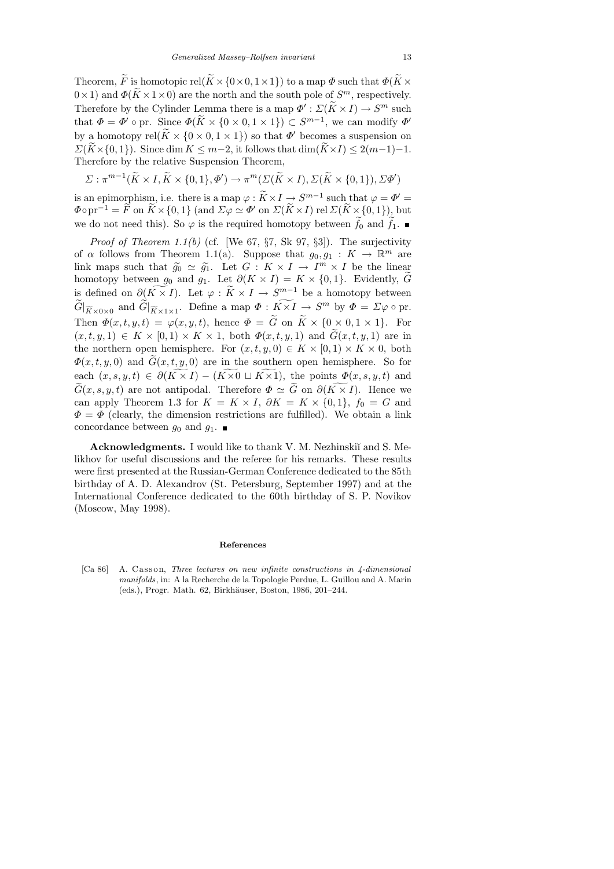Theorem,  $\widetilde{F}$  is homotopic rel( $\widetilde{K} \times \{0 \times 0, 1 \times 1\}$ ) to a map  $\Phi$  such that  $\Phi(\widetilde{K} \times$  $(0 \times 1)$  and  $\Phi(\widetilde{K} \times 1 \times 0)$  are the north and the south pole of  $S^m$ , respectively. Therefore by the Cylinder Lemma there is a map  $\Phi' : \Sigma(K \times I) \to S^m$  such that that  $\Phi = \Phi' \circ \text{pr. Since } \Phi(\tilde{K} \times \{0 \times 0, 1 \times 1\}) \subset S^{m-1}$ , we can modify  $\Phi'$ by a homotopy rel( $\tilde{K} \times \{0 \times 0, 1 \times 1\}$ ) so that  $\Phi'$  becomes a suspension on  $\Sigma(\widetilde{K}\times\{0,1\})$ . Since dim  $K \leq m-2$ , it follows that  $\dim(\widetilde{K}\times I) \leq 2(m-1)-1$ . Therefore by the relative Suspension Theorem,

$$
\Sigma: \pi^{m-1}(\widetilde{K} \times I, \widetilde{K} \times \{0,1\}, \Phi') \to \pi^m(\Sigma(\widetilde{K} \times I), \Sigma(\widetilde{K} \times \{0,1\}), \Sigma\Phi')
$$

is an epimorphism, i.e. there is a map  $\varphi : K \times I \to S^{m-1}$  such that  $\varphi = \Phi' =$  $\Phi \circ \text{pr}^{-1} = \overline{F} \text{ on } \overline{K} \times \{0, 1\} \text{ (and } \Sigma \varphi \simeq \Phi' \text{ on } \Sigma(\overline{K} \times I) \text{ rel } \Sigma(\overline{K} \times \{0, 1\})$ , but we do not need this). So  $\varphi$  is the required homotopy between  $f_0$  and  $f_1$ .

*Proof of Theorem 1.1(b)* (cf. [We 67,  $\S7$ , Sk 97,  $\S3$ ]). The surjectivity of  $\alpha$  follows from Theorem 1.1(a). Suppose that  $g_0, g_1 : K \to \mathbb{R}^m$  are link maps such that  $\widetilde{g}_0 \simeq \widetilde{g}_1$ . Let  $G: K \times I \to I^m \times I$  be the linear<br>homotopy between  $g_2$  and  $g_3$ . Let  $\partial (K \times I) = K \times I_0$  1). Evidently,  $\widetilde{C}$ homotopy between  $g_0$  and  $g_1$ . Let  $\partial(K \times I) = K \times \{0,1\}$ . Evidently,  $\tilde{G}$ is defined on  $\partial(K \times I)$ . Let  $\varphi : K \times I \to S^{m-1}$  be a homotopy between  $\widetilde{G}|_{\widetilde{K}\times 0\times 0}$  and  $\widetilde{G}|_{\widetilde{K}\times 1\times 1}$ . Define a map  $\Phi: K\times I \to S^m$  by  $\Phi = \Sigma \varphi \circ \text{pr}.$ Then  $\Phi(x, t, y, t) = \varphi(x, y, t)$ , hence  $\Phi = \tilde{G}$  on  $\tilde{K} \times \{0 \times 0, 1 \times 1\}$ . For  $(x, t, y, 1) \in K \times [0, 1] \times K \times 1$ , both  $\Phi(x, t, y, 1)$  and  $\widetilde{G}(x, t, y, 1)$  are in the northern open hemisphere. For  $(x, t, y, 0) \in K \times [0, 1) \times K \times 0$ , both  $\Phi(x, t, y, 0)$  and  $\tilde{G}(x, t, y, 0)$  are in the southern open hemisphere. So for each  $(x, s, y, t) \in \partial(\widetilde{K \times I}) - (\widetilde{K \times 0} \sqcup \widetilde{K \times 1}),$  the points  $\Phi(x, s, y, t)$  and  $\widetilde{G}(x, s, y, t)$  are not antipodal. Therefore  $\Phi \simeq \widetilde{G}$  on  $\partial (\widetilde{K \times I})$ . Hence we can apply Theorem 1.3 for  $K = K \times I$ ,  $\partial K = K \times \{0,1\}$ ,  $f_0 = G$  and  $\Phi = \Phi$  (clearly, the dimension restrictions are fulfilled). We obtain a link concordance between  $g_0$  and  $g_1$ .

Acknowledgments. I would like to thank V. M. Nezhinskiı̆ and S. Melikhov for useful discussions and the referee for his remarks. These results were first presented at the Russian-German Conference dedicated to the 85th birthday of A. D. Alexandrov (St. Petersburg, September 1997) and at the International Conference dedicated to the 60th birthday of S. P. Novikov (Moscow, May 1998).

# **References**

[Ca 86] A. Casson, *Three lectures on new infinite constructions in 4-dimensional manifolds*, in: A la Recherche de la Topologie Perdue, L. Guillou and A. Marin (eds.), Progr. Math. 62, Birkhäuser, Boston, 1986, 201–244.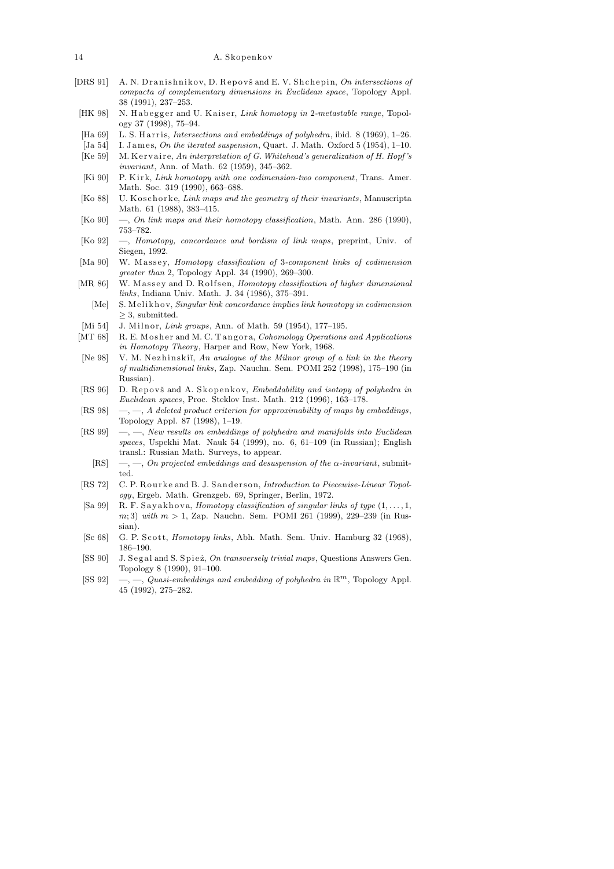- [DRS 91] A. N. Dranishnikov, D. Repovš and E. V. Shchepin, *On intersections of compacta of complementary dimensions in Euclidean space*, Topology Appl. 38 (1991), 237–253.
- [HK 98] N. Habegger and U. Kaiser, *Link homotopy in* 2-metastable range, Topology 37 (1998), 75–94.
- [Ha 69] L. S. Harris, *Intersections and embeddings of polyhedra*, ibid. 8 (1969), 1-26.
- [Ja 54] I. James, *On the iterated suspension*, Quart. J. Math. Oxford 5 (1954), 1-10.
- [Ke 59] M. K ervaire, An interpretation of G. Whitehead's generalization of H. Hopf's *invariant*, Ann. of Math. 62 (1959), 345–362.
- [Ki 90] P. Kirk, *Link homotopy with one codimension-two component*, Trans. Amer. Math. Soc. 319 (1990), 663–688.
- [Ko 88] U. K oschorke, *Link maps and the geometry of their invariants*, Manuscripta Math. 61 (1988), 383–415.
- [Ko 90] —, *On link maps and their homotopy classification*, Math. Ann. 286 (1990), 753–782.
- [Ko 92] —, *Homotopy, concordance and bordism of link maps*, preprint, Univ. of Siegen, 1992.
- [Ma 90] W. Massey, *Homotopy classification of* 3-component links of codimension *greater than* 2, Topology Appl. 34 (1990), 269–300.
- [MR 86] W. Massey and D. Rolfsen, *Homotopy classification of higher dimensional links*, Indiana Univ. Math. J. 34 (1986), 375–391.
- [Me] S. Meliknov, *Singular link concordance implies link homotopy in codimension ≥* 3, submitted.
- [Mi 54] J. Milnor, *Link groups*, Ann. of Math. 59 (1954), 177-195.
- [MT 68] R. E. Mosher and M. C. Tangora, *Cohomology Operations and Applications in Homotopy Theory*, Harper and Row, New York, 1968.
- [Ne 98] V. M. Nezhinskiĭ, An analogue of the Milnor group of a link in the theory *of multidimensional links*, Zap. Nauchn. Sem. POMI 252 (1998), 175–190 (in Russian).
- [RS 96] D. Repovš and A. Skopenkov, *Embeddability and isotopy of polyhedra in Euclidean spaces*, Proc. Steklov Inst. Math. 212 (1996), 163–178.
- [RS 98] —, —, *A deleted product criterion for approximability of maps by embeddings*, Topology Appl. 87 (1998), 1–19.
- [RS 99] —, —, *New results on embeddings of polyhedra and manifolds into Euclidean spaces*, Uspekhi Mat. Nauk 54 (1999), no. 6, 61–109 (in Russian); English transl.: Russian Math. Surveys, to appear.
- [RS] —, —, *On projected embeddings and desuspension of the α-invariant*, submitted.
- [RS 72] C. P. Rourke and B. J. Sanderson, *Introduction to Piecewise-Linear Topology*, Ergeb. Math. Grenzgeb. 69, Springer, Berlin, 1972.
- [Sa 99] R. F. Sayakhova, *Homotopy classification of singular links of type*  $(1, \ldots, 1,$ *m*; 3) *with m >* 1, Zap. Nauchn. Sem. POMI 261 (1999), 229–239 (in Russian).
- [Sc 68] G. P. Scott, *Homotopy links*, Abh. Math. Sem. Univ. Hamburg 32 (1968), 186–190.
- [SS 90] J. Segal and S. Spież, *On transversely trivial maps*, Questions Answers Gen. Topology 8 (1990), 91–100.
- [SS 92]  $\ldots$ , *Quasi-embeddings and embedding of polyhedra in*  $\mathbb{R}^m$ , Topology Appl. 45 (1992), 275–282.